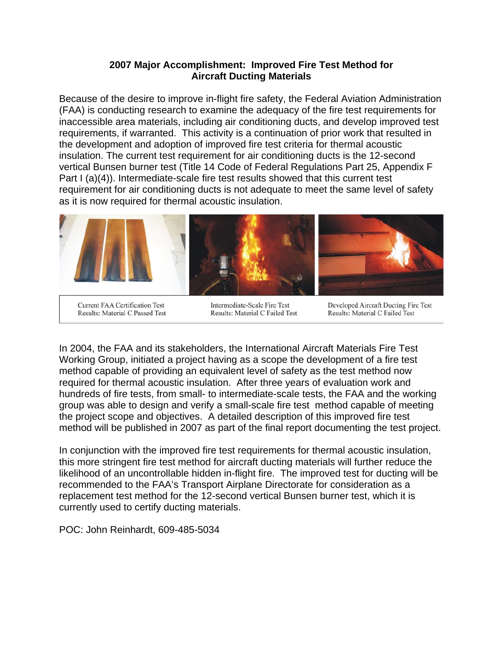## **2007 Major Accomplishment: Improved Fire Test Method for Aircraft Ducting Materials**

Because of the desire to improve in-flight fire safety, the Federal Aviation Administration (FAA) is conducting research to examine the adequacy of the fire test requirements for inaccessible area materials, including air conditioning ducts, and develop improved test requirements, if warranted. This activity is a continuation of prior work that resulted in the development and adoption of improved fire test criteria for thermal acoustic insulation. The current test requirement for air conditioning ducts is the 12-second vertical Bunsen burner test (Title 14 Code of Federal Regulations Part 25, Appendix F Part I (a)(4)). Intermediate-scale fire test results showed that this current test requirement for air conditioning ducts is not adequate to meet the same level of safety as it is now required for thermal acoustic insulation.



**Current FAA Certification Test** Results: Material C Passed Test

Intermediate-Scale Fire Test Results: Material C Failed Test

Developed Aircraft Ducting Fire Test Results: Material C Failed Test

In 2004, the FAA and its stakeholders, the International Aircraft Materials Fire Test Working Group, initiated a project having as a scope the development of a fire test method capable of providing an equivalent level of safety as the test method now required for thermal acoustic insulation. After three years of evaluation work and hundreds of fire tests, from small- to intermediate-scale tests, the FAA and the working group was able to design and verify a small-scale fire test method capable of meeting the project scope and objectives. A detailed description of this improved fire test method will be published in 2007 as part of the final report documenting the test project.

In conjunction with the improved fire test requirements for thermal acoustic insulation, this more stringent fire test method for aircraft ducting materials will further reduce the likelihood of an uncontrollable hidden in-flight fire. The improved test for ducting will be recommended to the FAA's Transport Airplane Directorate for consideration as a replacement test method for the 12-second vertical Bunsen burner test, which it is currently used to certify ducting materials.

POC: John Reinhardt, 609-485-5034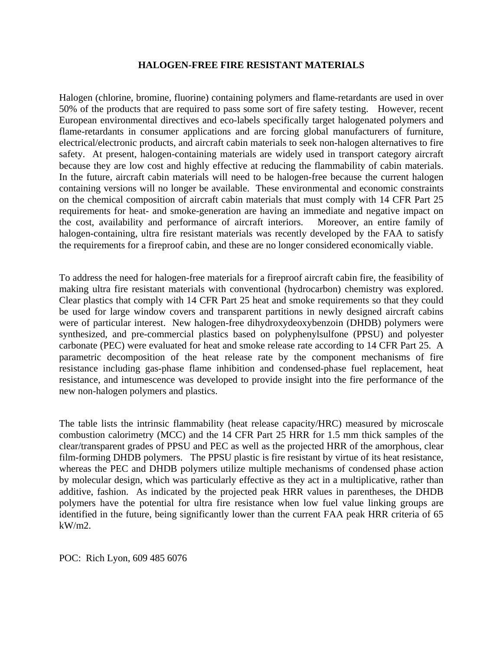#### **HALOGEN-FREE FIRE RESISTANT MATERIALS**

Halogen (chlorine, bromine, fluorine) containing polymers and flame-retardants are used in over 50% of the products that are required to pass some sort of fire safety testing. However, recent European environmental directives and eco-labels specifically target halogenated polymers and flame-retardants in consumer applications and are forcing global manufacturers of furniture, electrical/electronic products, and aircraft cabin materials to seek non-halogen alternatives to fire safety. At present, halogen-containing materials are widely used in transport category aircraft because they are low cost and highly effective at reducing the flammability of cabin materials. In the future, aircraft cabin materials will need to be halogen-free because the current halogen containing versions will no longer be available. These environmental and economic constraints on the chemical composition of aircraft cabin materials that must comply with 14 CFR Part 25 requirements for heat- and smoke-generation are having an immediate and negative impact on the cost, availability and performance of aircraft interiors. Moreover, an entire family of halogen-containing, ultra fire resistant materials was recently developed by the FAA to satisfy the requirements for a fireproof cabin, and these are no longer considered economically viable.

To address the need for halogen-free materials for a fireproof aircraft cabin fire, the feasibility of making ultra fire resistant materials with conventional (hydrocarbon) chemistry was explored. Clear plastics that comply with 14 CFR Part 25 heat and smoke requirements so that they could be used for large window covers and transparent partitions in newly designed aircraft cabins were of particular interest. New halogen-free dihydroxydeoxybenzoin (DHDB) polymers were synthesized, and pre-commercial plastics based on polyphenylsulfone (PPSU) and polyester carbonate (PEC) were evaluated for heat and smoke release rate according to 14 CFR Part 25. A parametric decomposition of the heat release rate by the component mechanisms of fire resistance including gas-phase flame inhibition and condensed-phase fuel replacement, heat resistance, and intumescence was developed to provide insight into the fire performance of the new non-halogen polymers and plastics.

The table lists the intrinsic flammability (heat release capacity/HRC) measured by microscale combustion calorimetry (MCC) and the 14 CFR Part 25 HRR for 1.5 mm thick samples of the clear/transparent grades of PPSU and PEC as well as the projected HRR of the amorphous, clear film-forming DHDB polymers. The PPSU plastic is fire resistant by virtue of its heat resistance, whereas the PEC and DHDB polymers utilize multiple mechanisms of condensed phase action by molecular design, which was particularly effective as they act in a multiplicative, rather than additive, fashion. As indicated by the projected peak HRR values in parentheses, the DHDB polymers have the potential for ultra fire resistance when low fuel value linking groups are identified in the future, being significantly lower than the current FAA peak HRR criteria of 65 kW/m2.

POC: Rich Lyon, 609 485 6076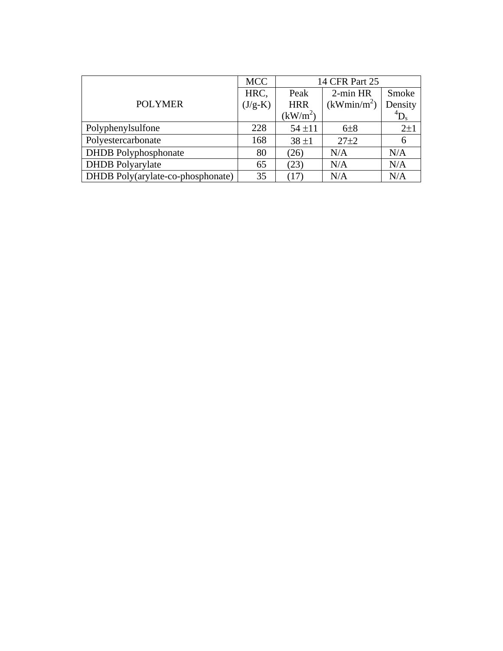|                                   | <b>MCC</b> | 14 CFR Part 25       |                         |           |
|-----------------------------------|------------|----------------------|-------------------------|-----------|
|                                   | HRC,       | Peak                 | $2$ -min HR             | Smoke     |
| <b>POLYMER</b>                    | $(J/g-K)$  | <b>HRR</b>           | (kWmin/m <sup>2</sup> ) | Density   |
|                                   |            | (kW/m <sup>2</sup> ) |                         | ${}^4D_s$ |
| Polyphenylsulfone                 | 228        | $54 + 11$            | $6\pm8$                 | $2\pm1$   |
| Polyestercarbonate                | 168        | $38 \pm 1$           | $27 + 2$                | 6         |
| <b>DHDB</b> Polyphosphonate       | 80         | 26)                  | N/A                     | N/A       |
| <b>DHDB</b> Polyarylate           | 65         | (23)                 | N/A                     | N/A       |
| DHDB Poly(arylate-co-phosphonate) | 35         |                      | N/A                     | N/A       |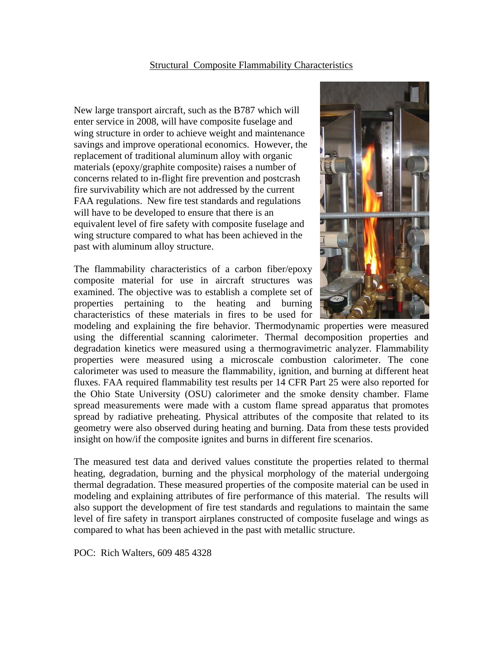#### Structural Composite Flammability Characteristics

New large transport aircraft, such as the B787 which will enter service in 2008, will have composite fuselage and wing structure in order to achieve weight and maintenance savings and improve operational economics. However, the replacement of traditional aluminum alloy with organic materials (epoxy/graphite composite) raises a number of concerns related to in-flight fire prevention and postcrash fire survivability which are not addressed by the current FAA regulations. New fire test standards and regulations will have to be developed to ensure that there is an equivalent level of fire safety with composite fuselage and wing structure compared to what has been achieved in the past with aluminum alloy structure.

The flammability characteristics of a carbon fiber/epoxy composite material for use in aircraft structures was examined. The objective was to establish a complete set of properties pertaining to the heating and burning characteristics of these materials in fires to be used for



modeling and explaining the fire behavior. Thermodynamic properties were measured using the differential scanning calorimeter. Thermal decomposition properties and degradation kinetics were measured using a thermogravimetric analyzer. Flammability properties were measured using a microscale combustion calorimeter. The cone calorimeter was used to measure the flammability, ignition, and burning at different heat fluxes. FAA required flammability test results per 14 CFR Part 25 were also reported for the Ohio State University (OSU) calorimeter and the smoke density chamber. Flame spread measurements were made with a custom flame spread apparatus that promotes spread by radiative preheating. Physical attributes of the composite that related to its geometry were also observed during heating and burning. Data from these tests provided insight on how/if the composite ignites and burns in different fire scenarios.

The measured test data and derived values constitute the properties related to thermal heating, degradation, burning and the physical morphology of the material undergoing thermal degradation. These measured properties of the composite material can be used in modeling and explaining attributes of fire performance of this material. The results will also support the development of fire test standards and regulations to maintain the same level of fire safety in transport airplanes constructed of composite fuselage and wings as compared to what has been achieved in the past with metallic structure.

POC: Rich Walters, 609 485 4328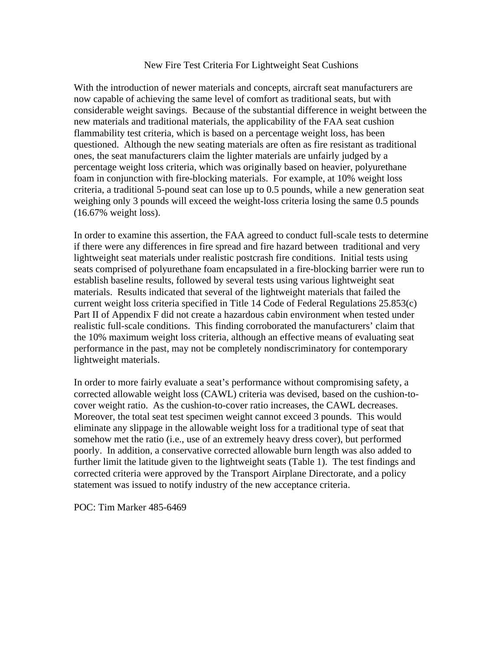#### New Fire Test Criteria For Lightweight Seat Cushions

With the introduction of newer materials and concepts, aircraft seat manufacturers are now capable of achieving the same level of comfort as traditional seats, but with considerable weight savings. Because of the substantial difference in weight between the new materials and traditional materials, the applicability of the FAA seat cushion flammability test criteria, which is based on a percentage weight loss, has been questioned. Although the new seating materials are often as fire resistant as traditional ones, the seat manufacturers claim the lighter materials are unfairly judged by a percentage weight loss criteria, which was originally based on heavier, polyurethane foam in conjunction with fire-blocking materials. For example, at 10% weight loss criteria, a traditional 5-pound seat can lose up to 0.5 pounds, while a new generation seat weighing only 3 pounds will exceed the weight-loss criteria losing the same 0.5 pounds (16.67% weight loss).

In order to examine this assertion, the FAA agreed to conduct full-scale tests to determine if there were any differences in fire spread and fire hazard between traditional and very lightweight seat materials under realistic postcrash fire conditions. Initial tests using seats comprised of polyurethane foam encapsulated in a fire-blocking barrier were run to establish baseline results, followed by several tests using various lightweight seat materials. Results indicated that several of the lightweight materials that failed the current weight loss criteria specified in Title 14 Code of Federal Regulations 25.853(c) Part II of Appendix F did not create a hazardous cabin environment when tested under realistic full-scale conditions. This finding corroborated the manufacturers' claim that the 10% maximum weight loss criteria, although an effective means of evaluating seat performance in the past, may not be completely nondiscriminatory for contemporary lightweight materials.

In order to more fairly evaluate a seat's performance without compromising safety, a corrected allowable weight loss (CAWL) criteria was devised, based on the cushion-tocover weight ratio. As the cushion-to-cover ratio increases, the CAWL decreases. Moreover, the total seat test specimen weight cannot exceed 3 pounds. This would eliminate any slippage in the allowable weight loss for a traditional type of seat that somehow met the ratio (i.e., use of an extremely heavy dress cover), but performed poorly. In addition, a conservative corrected allowable burn length was also added to further limit the latitude given to the lightweight seats (Table 1). The test findings and corrected criteria were approved by the Transport Airplane Directorate, and a policy statement was issued to notify industry of the new acceptance criteria.

POC: Tim Marker 485-6469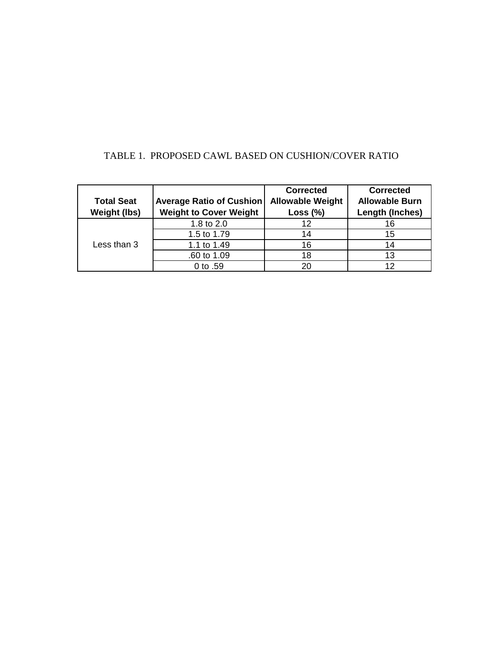# TABLE 1. PROPOSED CAWL BASED ON CUSHION/COVER RATIO

|                                   |                                                                  | <b>Corrected</b>                       | <b>Corrected</b>                         |
|-----------------------------------|------------------------------------------------------------------|----------------------------------------|------------------------------------------|
| <b>Total Seat</b><br>Weight (lbs) | <b>Average Ratio of Cushion</b><br><b>Weight to Cover Weight</b> | <b>Allowable Weight</b><br>Loss $(\%)$ | <b>Allowable Burn</b><br>Length (Inches) |
|                                   | 1.8 to 2.0                                                       | 12                                     | 16                                       |
|                                   |                                                                  |                                        |                                          |
|                                   | 1.5 to 1.79                                                      | 14                                     | 15                                       |
| Less than 3                       | 1.1 to 1.49                                                      | 16                                     | 14                                       |
|                                   | .60 to 1.09                                                      | 18                                     | 13                                       |
|                                   | 0 to .59                                                         | 20                                     | 12                                       |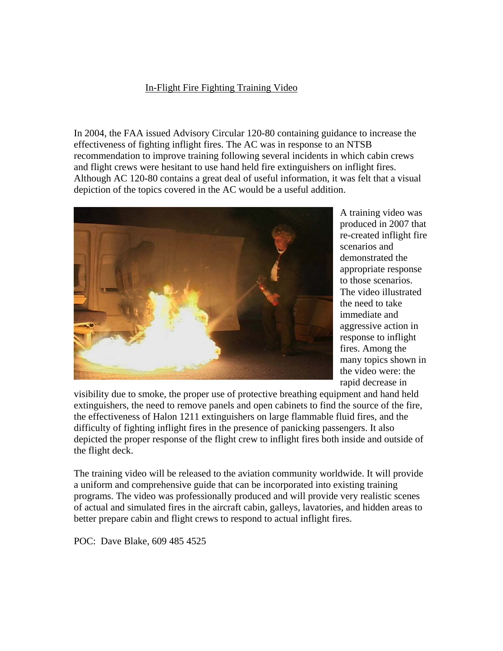## In-Flight Fire Fighting Training Video

In 2004, the FAA issued Advisory Circular 120-80 containing guidance to increase the effectiveness of fighting inflight fires. The AC was in response to an NTSB recommendation to improve training following several incidents in which cabin crews and flight crews were hesitant to use hand held fire extinguishers on inflight fires. Although AC 120-80 contains a great deal of useful information, it was felt that a visual depiction of the topics covered in the AC would be a useful addition.



A training video was produced in 2007 that re-created inflight fire scenarios and demonstrated the appropriate response to those scenarios. The video illustrated the need to take immediate and aggressive action in response to inflight fires. Among the many topics shown in the video were: the rapid decrease in

visibility due to smoke, the proper use of protective breathing equipment and hand held extinguishers, the need to remove panels and open cabinets to find the source of the fire, the effectiveness of Halon 1211 extinguishers on large flammable fluid fires, and the difficulty of fighting inflight fires in the presence of panicking passengers. It also depicted the proper response of the flight crew to inflight fires both inside and outside of the flight deck.

The training video will be released to the aviation community worldwide. It will provide a uniform and comprehensive guide that can be incorporated into existing training programs. The video was professionally produced and will provide very realistic scenes of actual and simulated fires in the aircraft cabin, galleys, lavatories, and hidden areas to better prepare cabin and flight crews to respond to actual inflight fires.

POC: Dave Blake, 609 485 4525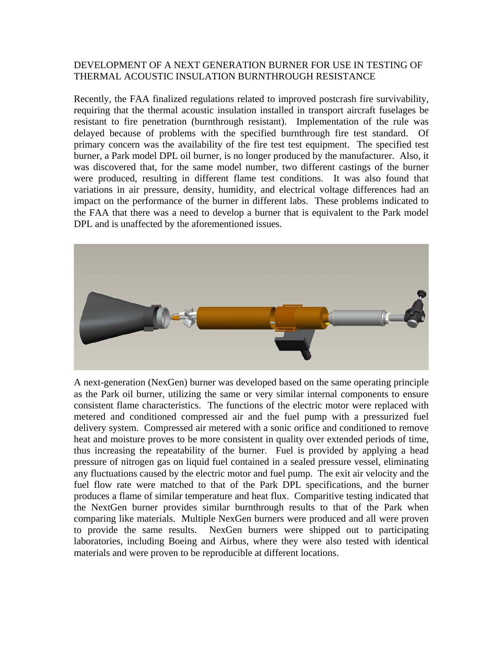## DEVELOPMENT OF A NEXT GENERATION BURNER FOR USE IN TESTING OF THERMAL ACOUSTIC INSULATION BURNTHROUGH RESISTANCE

Recently, the FAA finalized regulations related to improved postcrash fire survivability, requiring that the thermal acoustic insulation installed in transport aircraft fuselages be resistant to fire penetration (burnthrough resistant). Implementation of the rule was delayed because of problems with the specified burnthrough fire test standard. Of primary concern was the availability of the fire test test equipment. The specified test burner, a Park model DPL oil burner, is no longer produced by the manufacturer. Also, it was discovered that, for the same model number, two different castings of the burner were produced, resulting in different flame test conditions. It was also found that variations in air pressure, density, humidity, and electrical voltage differences had an impact on the performance of the burner in different labs. These problems indicated to the FAA that there was a need to develop a burner that is equivalent to the Park model DPL and is unaffected by the aforementioned issues.



A next-generation (NexGen) burner was developed based on the same operating principle as the Park oil burner, utilizing the same or very similar internal components to ensure consistent flame characteristics. The functions of the electric motor were replaced with metered and conditioned compressed air and the fuel pump with a pressurized fuel delivery system. Compressed air metered with a sonic orifice and conditioned to remove heat and moisture proves to be more consistent in quality over extended periods of time, thus increasing the repeatability of the burner. Fuel is provided by applying a head pressure of nitrogen gas on liquid fuel contained in a sealed pressure vessel, eliminating any fluctuations caused by the electric motor and fuel pump. The exit air velocity and the fuel flow rate were matched to that of the Park DPL specifications, and the burner produces a flame of similar temperature and heat flux. Comparitive testing indicated that the NextGen burner provides similar burnthrough results to that of the Park when comparing like materials. Multiple NexGen burners were produced and all were proven to provide the same results. NexGen burners were shipped out to participating laboratories, including Boeing and Airbus, where they were also tested with identical materials and were proven to be reproducible at different locations.